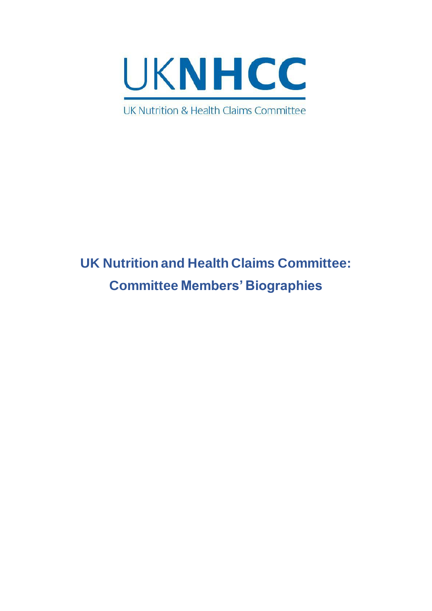

# **UK Nutrition and Health Claims Committee: Committee Members' Biographies**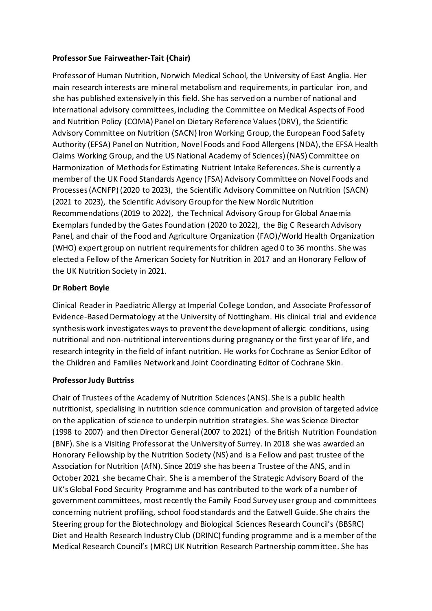# **Professor Sue Fairweather-Tait (Chair)**

Professor of Human Nutrition, Norwich Medical School, the University of East Anglia. Her main research interests are mineral metabolism and requirements, in particular iron, and she has published extensively in this field. She has served on a number of national and international advisory committees, including the Committee on Medical Aspects of Food and Nutrition Policy (COMA) Panel on Dietary Reference Values (DRV), the Scientific Advisory Committee on Nutrition (SACN) Iron Working Group, the European Food Safety Authority (EFSA) Panel on Nutrition, Novel Foods and Food Allergens (NDA), the EFSA Health Claims Working Group, and the US National Academy of Sciences) (NAS) Committee on Harmonization of Methods for Estimating Nutrient Intake References. She is currently a member of the UK Food Standards Agency (FSA) Advisory Committee on Novel Foods and Processes (ACNFP) (2020 to 2023), the Scientific Advisory Committee on Nutrition (SACN) (2021 to 2023), the Scientific Advisory Group for the New Nordic Nutrition Recommendations (2019 to 2022), the Technical Advisory Group for Global Anaemia Exemplars funded by the Gates Foundation (2020 to 2022), the Big C Research Advisory Panel, and chair of the Food and Agriculture Organization (FAO)/World Health Organization (WHO) expert group on nutrient requirements for children aged 0 to 36 months. She was elected a Fellow of the American Society for Nutrition in 2017 and an Honorary Fellow of the UK Nutrition Society in 2021.

# **Dr Robert Boyle**

Clinical Reader in Paediatric Allergy at Imperial College London, and Associate Professor of Evidence-Based Dermatology at the University of Nottingham. His clinical trial and evidence synthesis work investigates ways to prevent the development of allergic conditions, using nutritional and non-nutritional interventions during pregnancy or the first year of life, and research integrity in the field of infant nutrition. He works for Cochrane as Senior Editor of the Children and Families Network and Joint Coordinating Editor of Cochrane Skin.

## **Professor Judy Buttriss**

Chair of Trustees of the Academy of Nutrition Sciences (ANS). She is a public health nutritionist, specialising in nutrition science communication and provision of targeted advice on the application of science to underpin nutrition strategies. She was Science Director (1998 to 2007) and then Director General (2007 to 2021) of the British Nutrition Foundation (BNF). She is a Visiting Professor at the University of Surrey. In 2018 she was awarded an Honorary Fellowship by the Nutrition Society (NS) and is a Fellow and past trustee of the Association for Nutrition (AfN). Since 2019 she has been a Trustee of the ANS, and in October 2021 she became Chair. She is a member of the Strategic Advisory Board of the UK's Global Food Security Programme and has contributed to the work of a number of government committees, most recently the Family Food Survey user group and committees concerning nutrient profiling, school food standards and the Eatwell Guide. She chairs the Steering group for the Biotechnology and Biological Sciences Research Council's (BBSRC) Diet and Health Research Industry Club (DRINC) funding programme and is a member of the Medical Research Council's (MRC) UK Nutrition Research Partnership committee. She has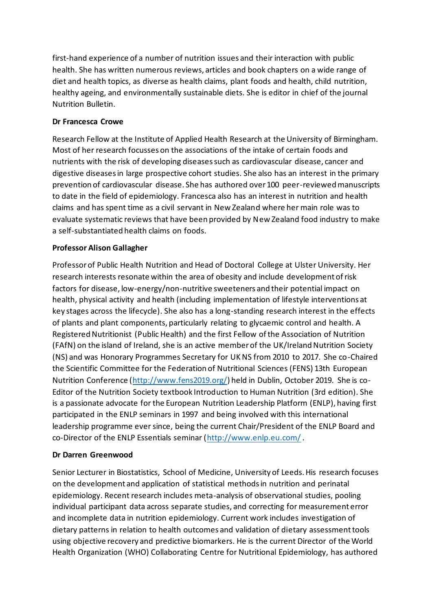first-hand experience of a number of nutrition issues and their interaction with public health. She has written numerous reviews, articles and book chapters on a wide range of diet and health topics, as diverse as health claims, plant foods and health, child nutrition, healthy ageing, and environmentally sustainable diets. She is editor in chief of the journal Nutrition Bulletin.

#### **Dr Francesca Crowe**

Research Fellow at the Institute of Applied Health Research at the University of Birmingham. Most of her research focusses on the associations of the intake of certain foods and nutrients with the risk of developing diseases such as cardiovascular disease, cancer and digestive diseases in large prospective cohort studies. She also has an interest in the primary prevention of cardiovascular disease. She has authored over 100 peer-reviewed manuscripts to date in the field of epidemiology. Francesca also has an interest in nutrition and health claims and has spent time as a civil servant in New Zealand where her main role was to evaluate systematic reviews that have been provided by New Zealand food industry to make a self-substantiated health claims on foods.

#### **Professor Alison Gallagher**

Professor of Public Health Nutrition and Head of Doctoral College at Ulster University. Her research interests resonate within the area of obesity and include development of risk factors for disease, low-energy/non-nutritive sweeteners and their potential impact on health, physical activity and health (including implementation of lifestyle interventions at key stages across the lifecycle). She also has a long-standing research interest in the effects of plants and plant components, particularly relating to glycaemic control and health. A Registered Nutritionist (Public Health) and the first Fellow of the Association of Nutrition (FAfN) on the island of Ireland, she is an active member of the UK/Ireland Nutrition Society (NS) and was Honorary Programmes Secretary for UK NS from 2010 to 2017. She co-Chaired the Scientific Committee for the Federation of Nutritional Sciences (FENS) 13th European Nutrition Conference [\(http://www.fens2019.org/\)](http://www.fens2019.org/) held in Dublin, October 2019. She is co-Editor of the Nutrition Society textbook Introduction to Human Nutrition (3rd edition). She is a passionate advocate for the European Nutrition Leadership Platform (ENLP), having first participated in the ENLP seminars in 1997 and being involved with this international leadership programme ever since, being the current Chair/President of the ENLP Board and co-Director of the ENLP Essentials seminar [\(http://www.enlp.eu.com/](http://www.enlp.eu.com/).

## **Dr Darren Greenwood**

Senior Lecturer in Biostatistics, School of Medicine, University of Leeds. His research focuses on the development and application of statistical methods in nutrition and perinatal epidemiology. Recent research includes meta-analysis of observational studies, pooling individual participant data across separate studies, and correcting for measurement error and incomplete data in nutrition epidemiology. Current work includes investigation of dietary patterns in relation to health outcomes and validation of dietary assessment tools using objective recovery and predictive biomarkers. He is the current Director of the World Health Organization (WHO) Collaborating Centre for Nutritional Epidemiology, has authored